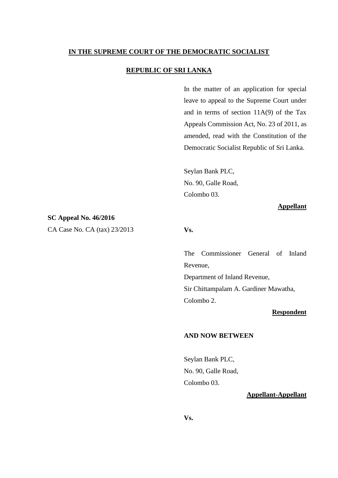### **IN THE SUPREME COURT OF THE DEMOCRATIC SOCIALIST**

#### **REPUBLIC OF SRI LANKA**

In the matter of an application for special leave to appeal to the Supreme Court under and in terms of section 11A(9) of the Tax Appeals Commission Act, No. 23 of 2011, as amended, read with the Constitution of the Democratic Socialist Republic of Sri Lanka.

Seylan Bank PLC, No. 90, Galle Road, Colombo 03.

#### **Appellant**

**SC Appeal No. 46/2016**

CA Case No. CA (tax) 23/2013

**Vs.**

The Commissioner General of Inland Revenue,

Department of Inland Revenue, Sir Chittampalam A. Gardiner Mawatha, Colombo 2.

#### **Respondent**

### **AND NOW BETWEEN**

Seylan Bank PLC, No. 90, Galle Road, Colombo 03.

# **Appellant-Appellant**

**Vs.**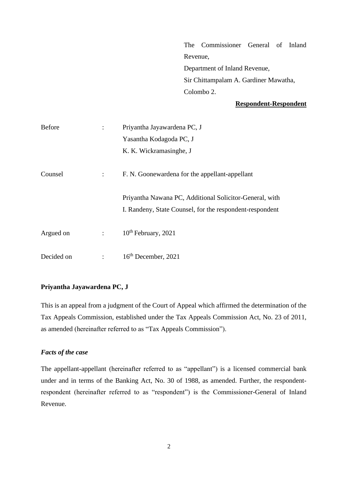The Commissioner General of Inland Revenue, Department of Inland Revenue, Sir Chittampalam A. Gardiner Mawatha, Colombo 2.

# **Respondent-Respondent**

| <b>Before</b> |                | Priyantha Jayawardena PC, J                              |
|---------------|----------------|----------------------------------------------------------|
|               |                | Yasantha Kodagoda PC, J                                  |
|               |                | K. K. Wickramasinghe, J.                                 |
| Counsel       | $\ddot{\cdot}$ | F. N. Goonewardena for the appellant-appellant           |
|               |                | Priyantha Nawana PC, Additional Solicitor-General, with  |
|               |                | I. Randeny, State Counsel, for the respondent-respondent |
| Argued on     | $1 - 1$        | $10^{th}$ February, 2021                                 |
| Decided on    |                | $16th$ December, 2021                                    |

# **Priyantha Jayawardena PC, J**

This is an appeal from a judgment of the Court of Appeal which affirmed the determination of the Tax Appeals Commission, established under the Tax Appeals Commission Act, No. 23 of 2011, as amended (hereinafter referred to as "Tax Appeals Commission").

# *Facts of the case*

The appellant-appellant (hereinafter referred to as "appellant") is a licensed commercial bank under and in terms of the Banking Act, No. 30 of 1988, as amended. Further, the respondentrespondent (hereinafter referred to as "respondent") is the Commissioner-General of Inland Revenue.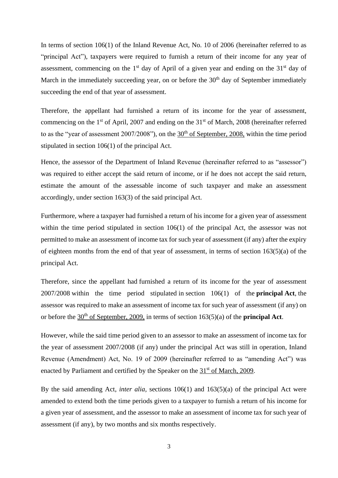In terms of section 106(1) of the Inland Revenue Act, No. 10 of 2006 (hereinafter referred to as "principal Act"), taxpayers were required to furnish a return of their income for any year of assessment, commencing on the  $1<sup>st</sup>$  day of April of a given year and ending on the  $31<sup>st</sup>$  day of March in the immediately succeeding year, on or before the  $30<sup>th</sup>$  day of September immediately succeeding the end of that year of assessment.

Therefore, the appellant had furnished a return of its income for the year of assessment, commencing on the  $1<sup>st</sup>$  of April, 2007 and ending on the  $31<sup>st</sup>$  of March, 2008 (hereinafter referred to as the "year of assessment  $2007/2008$ "), on the  $30<sup>th</sup>$  of September, 2008, within the time period stipulated in section 106(1) of the principal Act.

Hence, the assessor of the Department of Inland Revenue (hereinafter referred to as "assessor") was required to either accept the said return of income, or if he does not accept the said return, estimate the amount of the assessable income of such taxpayer and make an assessment accordingly, under section 163(3) of the said principal Act.

Furthermore, where a taxpayer had furnished a return of his income for a given year of assessment within the time period stipulated in section 106(1) of the principal Act, the assessor was not permitted to make an assessment of income tax for such year of assessment (if any) after the expiry of eighteen months from the end of that year of assessment, in terms of section 163(5)(a) of the principal Act.

Therefore, since the appellant had furnished a return of its income for the year of assessment 2007/2008 within the time period stipulated in section 106(1) of the **principal Act**, the assessor was required to make an assessment of income tax for such year of assessment (if any) on or before the 30th of September, 2009, in terms of section 163(5)(a) of the **principal Act**.

However, while the said time period given to an assessor to make an assessment of income tax for the year of assessment 2007/2008 (if any) under the principal Act was still in operation, Inland Revenue (Amendment) Act, No. 19 of 2009 (hereinafter referred to as "amending Act") was enacted by Parliament and certified by the Speaker on the 31<sup>st</sup> of March, 2009.

By the said amending Act, *inter alia,* sections 106(1) and 163(5)(a) of the principal Act were amended to extend both the time periods given to a taxpayer to furnish a return of his income for a given year of assessment, and the assessor to make an assessment of income tax for such year of assessment (if any), by two months and six months respectively.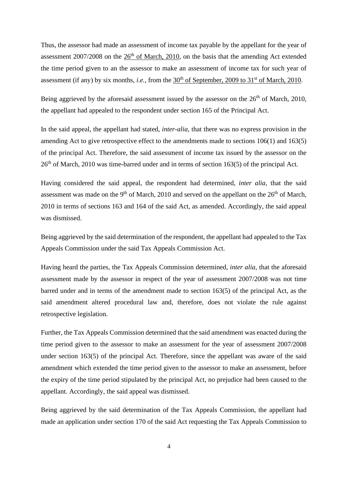Thus, the assessor had made an assessment of income tax payable by the appellant for the year of assessment  $2007/2008$  on the  $26<sup>th</sup>$  of March, 2010, on the basis that the amending Act extended the time period given to an the assessor to make an assessment of income tax for such year of assessment (if any) by six months, *i.e.*, from the  $30<sup>th</sup>$  of September, 2009 to 31<sup>st</sup> of March, 2010.

Being aggrieved by the aforesaid assessment issued by the assessor on the  $26<sup>th</sup>$  of March, 2010, the appellant had appealed to the respondent under section 165 of the Principal Act.

In the said appeal, the appellant had stated, *inter-alia*, that there was no express provision in the amending Act to give retrospective effect to the amendments made to sections 106(1) and 163(5) of the principal Act. Therefore, the said assessment of income tax issued by the assessor on the  $26<sup>th</sup>$  of March, 2010 was time-barred under and in terms of section 163(5) of the principal Act.

Having considered the said appeal, the respondent had determined, *inter alia,* that the said assessment was made on the 9<sup>th</sup> of March, 2010 and served on the appellant on the  $26<sup>th</sup>$  of March, 2010 in terms of sections 163 and 164 of the said Act, as amended. Accordingly, the said appeal was dismissed.

Being aggrieved by the said determination of the respondent, the appellant had appealed to the Tax Appeals Commission under the said Tax Appeals Commission Act.

Having heard the parties, the Tax Appeals Commission determined, *inter alia*, that the aforesaid assessment made by the assessor in respect of the year of assessment 2007/2008 was not time barred under and in terms of the amendment made to section 163(5) of the principal Act, as the said amendment altered procedural law and, therefore, does not violate the rule against retrospective legislation.

Further, the Tax Appeals Commission determined that the said amendment was enacted during the time period given to the assessor to make an assessment for the year of assessment 2007/2008 under section 163(5) of the principal Act. Therefore, since the appellant was aware of the said amendment which extended the time period given to the assessor to make an assessment, before the expiry of the time period stipulated by the principal Act, no prejudice had been caused to the appellant. Accordingly, the said appeal was dismissed.

Being aggrieved by the said determination of the Tax Appeals Commission, the appellant had made an application under section 170 of the said Act requesting the Tax Appeals Commission to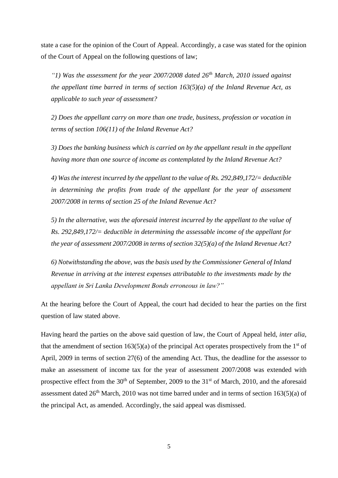state a case for the opinion of the Court of Appeal. Accordingly, a case was stated for the opinion of the Court of Appeal on the following questions of law;

*"1) Was the assessment for the year 2007/2008 dated 26th March, 2010 issued against the appellant time barred in terms of section 163(5)(a) of the Inland Revenue Act, as applicable to such year of assessment?*

*2) Does the appellant carry on more than one trade, business, profession or vocation in terms of section 106(11) of the Inland Revenue Act?*

*3) Does the banking business which is carried on by the appellant result in the appellant having more than one source of income as contemplated by the Inland Revenue Act?*

*4) Was the interest incurred by the appellant to the value of Rs. 292,849,172/= deductible in determining the profits from trade of the appellant for the year of assessment 2007/2008 in terms of section 25 of the Inland Revenue Act?*

*5) In the alternative, was the aforesaid interest incurred by the appellant to the value of Rs. 292,849,172/= deductible in determining the assessable income of the appellant for the year of assessment 2007/2008 in terms of section 32(5)(a) of the Inland Revenue Act?*

*6) Notwithstanding the above, was the basis used by the Commissioner General of Inland Revenue in arriving at the interest expenses attributable to the investments made by the appellant in Sri Lanka Development Bonds erroneous in law?"*

At the hearing before the Court of Appeal, the court had decided to hear the parties on the first question of law stated above.

Having heard the parties on the above said question of law, the Court of Appeal held, *inter alia*, that the amendment of section  $163(5)(a)$  of the principal Act operates prospectively from the  $1<sup>st</sup>$  of April, 2009 in terms of section 27(6) of the amending Act. Thus, the deadline for the assessor to make an assessment of income tax for the year of assessment 2007/2008 was extended with prospective effect from the  $30<sup>th</sup>$  of September, 2009 to the  $31<sup>st</sup>$  of March, 2010, and the aforesaid assessment dated  $26<sup>th</sup>$  March, 2010 was not time barred under and in terms of section 163(5)(a) of the principal Act, as amended. Accordingly, the said appeal was dismissed.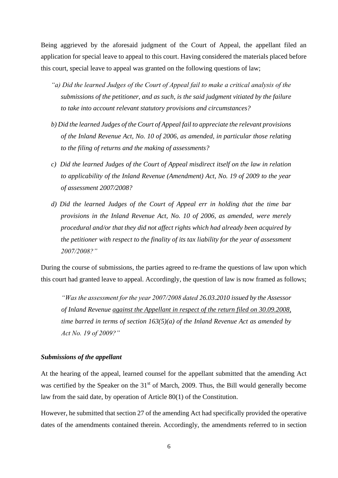Being aggrieved by the aforesaid judgment of the Court of Appeal, the appellant filed an application for special leave to appeal to this court. Having considered the materials placed before this court, special leave to appeal was granted on the following questions of law;

- *"a) Did the learned Judges of the Court of Appeal fail to make a critical analysis of the submissions of the petitioner, and as such, is the said judgment vitiated by the failure to take into account relevant statutory provisions and circumstances?*
- *b) Did the learned Judges of the Court of Appeal fail to appreciate the relevant provisions of the Inland Revenue Act, No. 10 of 2006, as amended, in particular those relating to the filing of returns and the making of assessments?*
- *c) Did the learned Judges of the Court of Appeal misdirect itself on the law in relation to applicability of the Inland Revenue (Amendment) Act, No. 19 of 2009 to the year of assessment 2007/2008?*
- *d) Did the learned Judges of the Court of Appeal err in holding that the time bar provisions in the Inland Revenue Act, No. 10 of 2006, as amended, were merely procedural and/or that they did not affect rights which had already been acquired by the petitioner with respect to the finality of its tax liability for the year of assessment 2007/2008?"*

During the course of submissions, the parties agreed to re-frame the questions of law upon which this court had granted leave to appeal. Accordingly, the question of law is now framed as follows;

*"Was the assessment for the year 2007/2008 dated 26.03.2010 issued by the Assessor of Inland Revenue against the Appellant in respect of the return filed on 30.09.2008, time barred in terms of section 163(5)(a) of the Inland Revenue Act as amended by Act No. 19 of 2009?"*

#### *Submissions of the appellant*

At the hearing of the appeal, learned counsel for the appellant submitted that the amending Act was certified by the Speaker on the  $31<sup>st</sup>$  of March, 2009. Thus, the Bill would generally become law from the said date, by operation of Article 80(1) of the Constitution.

However, he submitted that section 27 of the amending Act had specifically provided the operative dates of the amendments contained therein. Accordingly, the amendments referred to in section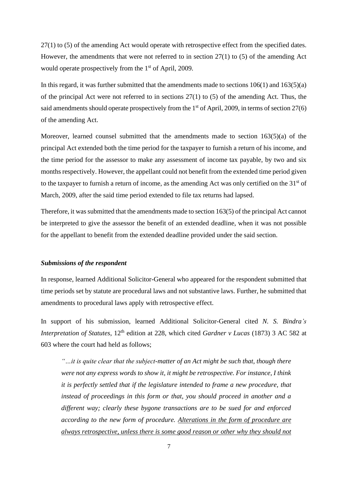27(1) to (5) of the amending Act would operate with retrospective effect from the specified dates. However, the amendments that were not referred to in section 27(1) to (5) of the amending Act would operate prospectively from the 1<sup>st</sup> of April, 2009.

In this regard, it was further submitted that the amendments made to sections  $106(1)$  and  $163(5)(a)$ of the principal Act were not referred to in sections 27(1) to (5) of the amending Act. Thus, the said amendments should operate prospectively from the 1<sup>st</sup> of April, 2009, in terms of section 27(6) of the amending Act.

Moreover, learned counsel submitted that the amendments made to section  $163(5)(a)$  of the principal Act extended both the time period for the taxpayer to furnish a return of his income, and the time period for the assessor to make any assessment of income tax payable, by two and six months respectively. However, the appellant could not benefit from the extended time period given to the taxpayer to furnish a return of income, as the amending Act was only certified on the 31<sup>st</sup> of March, 2009, after the said time period extended to file tax returns had lapsed.

Therefore, it was submitted that the amendments made to section 163(5) of the principal Act cannot be interpreted to give the assessor the benefit of an extended deadline, when it was not possible for the appellant to benefit from the extended deadline provided under the said section.

#### *Submissions of the respondent*

In response, learned Additional Solicitor-General who appeared for the respondent submitted that time periods set by statute are procedural laws and not substantive laws. Further, he submitted that amendments to procedural laws apply with retrospective effect.

In support of his submission, learned Additional Solicitor-General cited *N. S. Bindra's Interpretation of Statutes*, 12<sup>th</sup> edition at 228, which cited *Gardner v Lucas* (1873) 3 AC 582 at 603 where the court had held as follows;

*"…it is quite clear that the subject-matter of an Act might be such that, though there were not any express words to show it, it might be retrospective. For instance, I think it is perfectly settled that if the legislature intended to frame a new procedure, that instead of proceedings in this form or that, you should proceed in another and a different way; clearly these bygone transactions are to be sued for and enforced according to the new form of procedure. Alterations in the form of procedure are always retrospective, unless there is some good reason or other why they should not*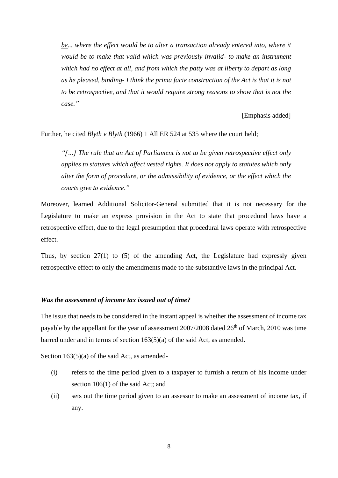*be... where the effect would be to alter a transaction already entered into, where it would be to make that valid which was previously invalid- to make an instrument which had no effect at all, and from which the patty was at liberty to depart as long as he pleased, binding- I think the prima facie construction of the Act is that it is not to be retrospective, and that it would require strong reasons to show that is not the case."* 

[Emphasis added]

Further, he cited *Blyth v Blyth* (1966) 1 All ER 524 at 535 where the court held;

*"[…] The rule that an Act of Parliament is not to be given retrospective effect only applies to statutes which affect vested rights. It does not apply to statutes which only alter the form of procedure, or the admissibility of evidence, or the effect which the courts give to evidence."*

Moreover, learned Additional Solicitor-General submitted that it is not necessary for the Legislature to make an express provision in the Act to state that procedural laws have a retrospective effect, due to the legal presumption that procedural laws operate with retrospective effect.

Thus, by section 27(1) to (5) of the amending Act, the Legislature had expressly given retrospective effect to only the amendments made to the substantive laws in the principal Act.

#### *Was the assessment of income tax issued out of time?*

The issue that needs to be considered in the instant appeal is whether the assessment of income tax payable by the appellant for the year of assessment 2007/2008 dated 26<sup>th</sup> of March, 2010 was time barred under and in terms of section 163(5)(a) of the said Act, as amended.

Section 163(5)(a) of the said Act, as amended-

- (i) refers to the time period given to a taxpayer to furnish a return of his income under section 106(1) of the said Act; and
- (ii) sets out the time period given to an assessor to make an assessment of income tax, if any.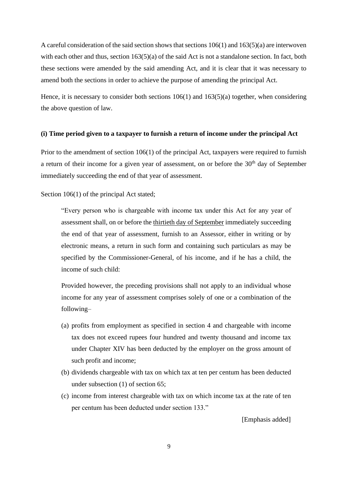A careful consideration of the said section shows that sections 106(1) and 163(5)(a) are interwoven with each other and thus, section 163(5)(a) of the said Act is not a standalone section. In fact, both these sections were amended by the said amending Act, and it is clear that it was necessary to amend both the sections in order to achieve the purpose of amending the principal Act.

Hence, it is necessary to consider both sections  $106(1)$  and  $163(5)(a)$  together, when considering the above question of law.

#### **(i) Time period given to a taxpayer to furnish a return of income under the principal Act**

Prior to the amendment of section 106(1) of the principal Act, taxpayers were required to furnish a return of their income for a given year of assessment, on or before the 30<sup>th</sup> day of September immediately succeeding the end of that year of assessment.

Section 106(1) of the principal Act stated;

"Every person who is chargeable with income tax under this Act for any year of assessment shall, on or before the thirtieth day of September immediately succeeding the end of that year of assessment, furnish to an Assessor, either in writing or by electronic means, a return in such form and containing such particulars as may be specified by the Commissioner-General, of his income, and if he has a child, the income of such child:

Provided however, the preceding provisions shall not apply to an individual whose income for any year of assessment comprises solely of one or a combination of the following–

- (a) profits from employment as specified in section 4 and chargeable with income tax does not exceed rupees four hundred and twenty thousand and income tax under Chapter XIV has been deducted by the employer on the gross amount of such profit and income;
- (b) dividends chargeable with tax on which tax at ten per centum has been deducted under subsection (1) of section 65;
- (c) income from interest chargeable with tax on which income tax at the rate of ten per centum has been deducted under section 133."

[Emphasis added]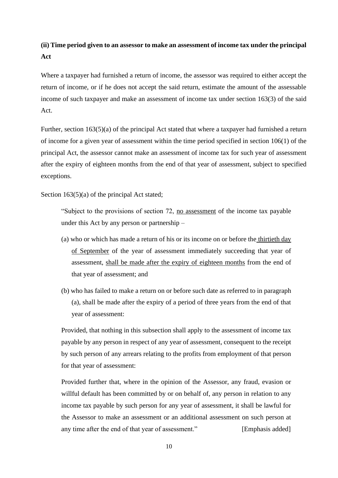# **(ii) Time period given to an assessor to make an assessment of income tax under the principal Act**

Where a taxpayer had furnished a return of income, the assessor was required to either accept the return of income, or if he does not accept the said return, estimate the amount of the assessable income of such taxpayer and make an assessment of income tax under section 163(3) of the said Act.

Further, section 163(5)(a) of the principal Act stated that where a taxpayer had furnished a return of income for a given year of assessment within the time period specified in section 106(1) of the principal Act, the assessor cannot make an assessment of income tax for such year of assessment after the expiry of eighteen months from the end of that year of assessment, subject to specified exceptions.

Section 163(5)(a) of the principal Act stated;

"Subject to the provisions of section 72, no assessment of the income tax payable under this Act by any person or partnership –

- (a) who or which has made a return of his or its income on or before the thirtieth day of September of the year of assessment immediately succeeding that year of assessment, shall be made after the expiry of eighteen months from the end of that year of assessment; and
- (b) who has failed to make a return on or before such date as referred to in paragraph (a), shall be made after the expiry of a period of three years from the end of that year of assessment:

Provided, that nothing in this subsection shall apply to the assessment of income tax payable by any person in respect of any year of assessment, consequent to the receipt by such person of any arrears relating to the profits from employment of that person for that year of assessment:

Provided further that, where in the opinion of the Assessor, any fraud, evasion or willful default has been committed by or on behalf of, any person in relation to any income tax payable by such person for any year of assessment, it shall be lawful for the Assessor to make an assessment or an additional assessment on such person at any time after the end of that year of assessment." [Emphasis added]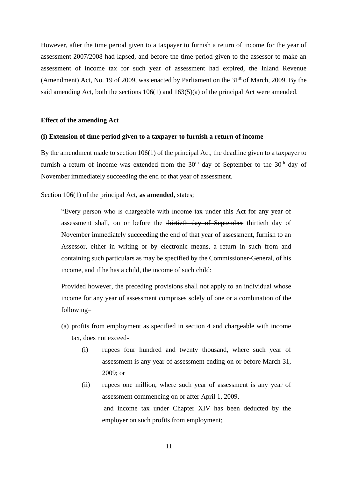However, after the time period given to a taxpayer to furnish a return of income for the year of assessment 2007/2008 had lapsed, and before the time period given to the assessor to make an assessment of income tax for such year of assessment had expired, the Inland Revenue (Amendment) Act, No. 19 of 2009, was enacted by Parliament on the  $31<sup>st</sup>$  of March, 2009. By the said amending Act, both the sections 106(1) and 163(5)(a) of the principal Act were amended.

#### **Effect of the amending Act**

#### **(i) Extension of time period given to a taxpayer to furnish a return of income**

By the amendment made to section 106(1) of the principal Act, the deadline given to a taxpayer to furnish a return of income was extended from the  $30<sup>th</sup>$  day of September to the  $30<sup>th</sup>$  day of November immediately succeeding the end of that year of assessment.

Section 106(1) of the principal Act, **as amended**, states;

"Every person who is chargeable with income tax under this Act for any year of assessment shall, on or before the thirtieth day of September thirtieth day of November immediately succeeding the end of that year of assessment, furnish to an Assessor, either in writing or by electronic means, a return in such from and containing such particulars as may be specified by the Commissioner-General, of his income, and if he has a child, the income of such child:

Provided however, the preceding provisions shall not apply to an individual whose income for any year of assessment comprises solely of one or a combination of the following–

- (a) profits from employment as specified in section 4 and chargeable with income tax, does not exceed-
	- (i) rupees four hundred and twenty thousand, where such year of assessment is any year of assessment ending on or before March 31, 2009; or
	- (ii) rupees one million, where such year of assessment is any year of assessment commencing on or after April 1, 2009, and income tax under Chapter XIV has been deducted by the employer on such profits from employment;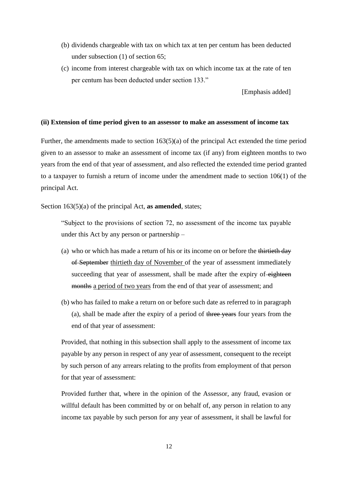- (b) dividends chargeable with tax on which tax at ten per centum has been deducted under subsection (1) of section 65;
- (c) income from interest chargeable with tax on which income tax at the rate of ten per centum has been deducted under section 133."

[Emphasis added]

#### **(ii) Extension of time period given to an assessor to make an assessment of income tax**

Further, the amendments made to section 163(5)(a) of the principal Act extended the time period given to an assessor to make an assessment of income tax (if any) from eighteen months to two years from the end of that year of assessment, and also reflected the extended time period granted to a taxpayer to furnish a return of income under the amendment made to section 106(1) of the principal Act.

Section 163(5)(a) of the principal Act, **as amended**, states;

"Subject to the provisions of section 72, no assessment of the income tax payable under this Act by any person or partnership –

- (a) who or which has made a return of his or its income on or before the thirtieth day of September thirtieth day of November of the year of assessment immediately succeeding that year of assessment, shall be made after the expiry of eighteen months a period of two years from the end of that year of assessment; and
- (b) who has failed to make a return on or before such date as referred to in paragraph (a), shall be made after the expiry of a period of three years four years from the end of that year of assessment:

Provided, that nothing in this subsection shall apply to the assessment of income tax payable by any person in respect of any year of assessment, consequent to the receipt by such person of any arrears relating to the profits from employment of that person for that year of assessment:

Provided further that, where in the opinion of the Assessor, any fraud, evasion or willful default has been committed by or on behalf of, any person in relation to any income tax payable by such person for any year of assessment, it shall be lawful for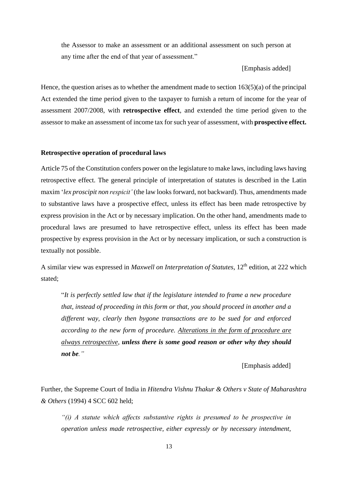the Assessor to make an assessment or an additional assessment on such person at any time after the end of that year of assessment."

#### [Emphasis added]

Hence, the question arises as to whether the amendment made to section  $163(5)(a)$  of the principal Act extended the time period given to the taxpayer to furnish a return of income for the year of assessment 2007/2008, with **retrospective effect**, and extended the time period given to the assessor to make an assessment of income tax for such year of assessment, with **prospective effect.**

#### **Retrospective operation of procedural laws**

Article 75 of the Constitution confers power on the legislature to make laws, including laws having retrospective effect. The general principle of interpretation of statutes is described in the Latin maxim '*lex proscipit non respicit'* (the law looks forward, not backward). Thus, amendments made to substantive laws have a prospective effect, unless its effect has been made retrospective by express provision in the Act or by necessary implication. On the other hand, amendments made to procedural laws are presumed to have retrospective effect, unless its effect has been made prospective by express provision in the Act or by necessary implication, or such a construction is textually not possible.

A similar view was expressed in *Maxwell on Interpretation of Statutes*, 12th edition, at 222 which stated;

"*It is perfectly settled law that if the legislature intended to frame a new procedure that, instead of proceeding in this form or that, you should proceed in another and a different way, clearly then bygone transactions are to be sued for and enforced according to the new form of procedure. Alterations in the form of procedure are always retrospective, unless there is some good reason or other why they should not be."* 

[Emphasis added]

Further, the Supreme Court of India in *Hitendra Vishnu Thakur & Others v State of Maharashtra & Others* (1994) 4 SCC 602 held;

*"(i) A statute which affects substantive rights is presumed to be prospective in operation unless made retrospective, either expressly or by necessary intendment,*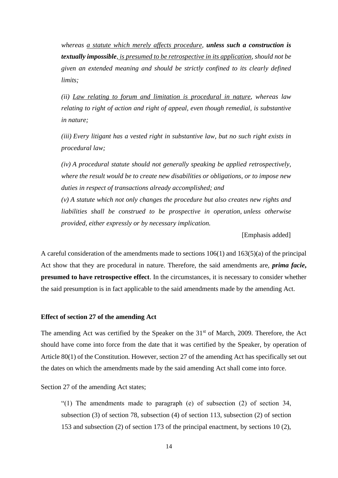*whereas a statute which merely affects procedure, unless such a construction is textually impossible, is presumed to be retrospective in its application, should not be given an extended meaning and should be strictly confined to its clearly defined limits;*

*(ii) Law relating to forum and limitation is procedural in nature, whereas law relating to right of action and right of appeal, even though remedial, is substantive in nature;* 

*(iii) Every litigant has a vested right in substantive law, but no such right exists in procedural law;*

*(iv) A procedural statute should not generally speaking be applied retrospectively, where the result would be to create new disabilities or obligations, or to impose new duties in respect of transactions already accomplished; and* 

*(v) A statute which not only changes the procedure but also creates new rights and liabilities shall be construed to be prospective in operation, unless otherwise provided, either expressly or by necessary implication.* 

[Emphasis added]

A careful consideration of the amendments made to sections 106(1) and 163(5)(a) of the principal Act show that they are procedural in nature. Therefore, the said amendments are, *prima facie***, presumed to have retrospective effect**. In the circumstances, it is necessary to consider whether the said presumption is in fact applicable to the said amendments made by the amending Act.

#### **Effect of section 27 of the amending Act**

The amending Act was certified by the Speaker on the  $31<sup>st</sup>$  of March, 2009. Therefore, the Act should have come into force from the date that it was certified by the Speaker, by operation of Article 80(1) of the Constitution. However, section 27 of the amending Act has specifically set out the dates on which the amendments made by the said amending Act shall come into force.

Section 27 of the amending Act states;

"(1) The amendments made to paragraph (e) of subsection (2) of section 34, subsection (3) of section 78, subsection (4) of section 113, subsection (2) of section 153 and subsection (2) of section 173 of the principal enactment, by sections 10 (2),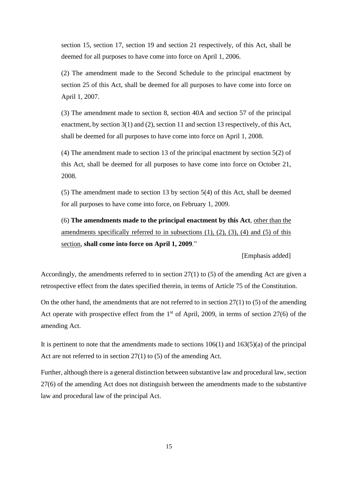section 15, section 17, section 19 and section 21 respectively, of this Act, shall be deemed for all purposes to have come into force on April 1, 2006.

(2) The amendment made to the Second Schedule to the principal enactment by section 25 of this Act, shall be deemed for all purposes to have come into force on April 1, 2007.

(3) The amendment made to section 8, section 40A and section 57 of the principal enactment, by section 3(1) and (2), section 11 and section 13 respectively, of this Act, shall be deemed for all purposes to have come into force on April 1, 2008.

(4) The amendment made to section 13 of the principal enactment by section 5(2) of this Act, shall be deemed for all purposes to have come into force on October 21, 2008.

(5) The amendment made to section 13 by section 5(4) of this Act, shall be deemed for all purposes to have come into force, on February 1, 2009.

(6) **The amendments made to the principal enactment by this Act**, other than the amendments specifically referred to in subsections  $(1)$ ,  $(2)$ ,  $(3)$ ,  $(4)$  and  $(5)$  of this section, **shall come into force on April 1, 2009**."

[Emphasis added]

Accordingly, the amendments referred to in section 27(1) to (5) of the amending Act are given a retrospective effect from the dates specified therein, in terms of Article 75 of the Constitution.

On the other hand, the amendments that are not referred to in section 27(1) to (5) of the amending Act operate with prospective effect from the  $1<sup>st</sup>$  of April, 2009, in terms of section 27(6) of the amending Act.

It is pertinent to note that the amendments made to sections  $106(1)$  and  $163(5)(a)$  of the principal Act are not referred to in section 27(1) to (5) of the amending Act.

Further, although there is a general distinction between substantive law and procedural law, section 27(6) of the amending Act does not distinguish between the amendments made to the substantive law and procedural law of the principal Act.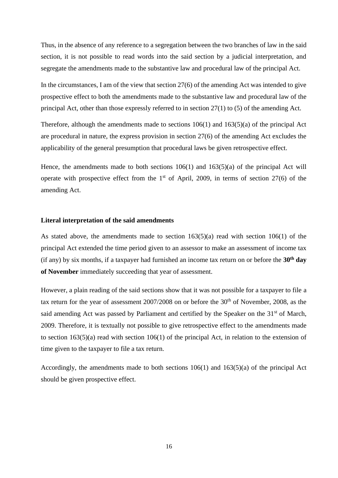Thus, in the absence of any reference to a segregation between the two branches of law in the said section, it is not possible to read words into the said section by a judicial interpretation, and segregate the amendments made to the substantive law and procedural law of the principal Act.

In the circumstances, I am of the view that section 27(6) of the amending Act was intended to give prospective effect to both the amendments made to the substantive law and procedural law of the principal Act, other than those expressly referred to in section 27(1) to (5) of the amending Act.

Therefore, although the amendments made to sections 106(1) and 163(5)(a) of the principal Act are procedural in nature, the express provision in section 27(6) of the amending Act excludes the applicability of the general presumption that procedural laws be given retrospective effect.

Hence, the amendments made to both sections 106(1) and 163(5)(a) of the principal Act will operate with prospective effect from the  $1<sup>st</sup>$  of April, 2009, in terms of section 27(6) of the amending Act.

# **Literal interpretation of the said amendments**

As stated above, the amendments made to section  $163(5)(a)$  read with section  $106(1)$  of the principal Act extended the time period given to an assessor to make an assessment of income tax (if any) by six months, if a taxpayer had furnished an income tax return on or before the **30th day of November** immediately succeeding that year of assessment.

However, a plain reading of the said sections show that it was not possible for a taxpayer to file a tax return for the year of assessment  $2007/2008$  on or before the  $30<sup>th</sup>$  of November, 2008, as the said amending Act was passed by Parliament and certified by the Speaker on the 31<sup>st</sup> of March, 2009. Therefore, it is textually not possible to give retrospective effect to the amendments made to section 163(5)(a) read with section 106(1) of the principal Act, in relation to the extension of time given to the taxpayer to file a tax return.

Accordingly, the amendments made to both sections 106(1) and 163(5)(a) of the principal Act should be given prospective effect.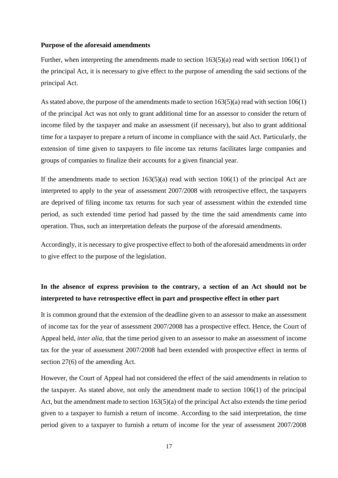#### **Purpose of the aforesaid amendments**

Further, when interpreting the amendments made to section 163(5)(a) read with section 106(1) of the principal Act, it is necessary to give effect to the purpose of amending the said sections of the principal Act.

As stated above, the purpose of the amendments made to section  $163(5)(a)$  read with section  $106(1)$ of the principal Act was not only to grant additional time for an assessor to consider the return of income filed by the taxpayer and make an assessment (if necessary), but also to grant additional time for a taxpayer to prepare a return of income in compliance with the said Act. Particularly, the extension of time given to taxpayers to file income tax returns facilitates large companies and groups of companies to finalize their accounts for a given financial year.

If the amendments made to section  $163(5)(a)$  read with section  $106(1)$  of the principal Act are interpreted to apply to the year of assessment 2007/2008 with retrospective effect, the taxpayers are deprived of filing income tax returns for such year of assessment within the extended time period, as such extended time period had passed by the time the said amendments came into operation. Thus, such an interpretation defeats the purpose of the aforesaid amendments.

Accordingly, it is necessary to give prospective effect to both of the aforesaid amendments in order to give effect to the purpose of the legislation.

# **In the absence of express provision to the contrary, a section of an Act should not be interpreted to have retrospective effect in part and prospective effect in other part**

It is common ground that the extension of the deadline given to an assessor to make an assessment of income tax for the year of assessment 2007/2008 has a prospective effect. Hence, the Court of Appeal held, *inter alia,* that the time period given to an assessor to make an assessment of income tax for the year of assessment 2007/2008 had been extended with prospective effect in terms of section 27(6) of the amending Act.

However, the Court of Appeal had not considered the effect of the said amendments in relation to the taxpayer. As stated above, not only the amendment made to section 106(1) of the principal Act, but the amendment made to section  $163(5)(a)$  of the principal Act also extends the time period given to a taxpayer to furnish a return of income. According to the said interpretation, the time period given to a taxpayer to furnish a return of income for the year of assessment 2007/2008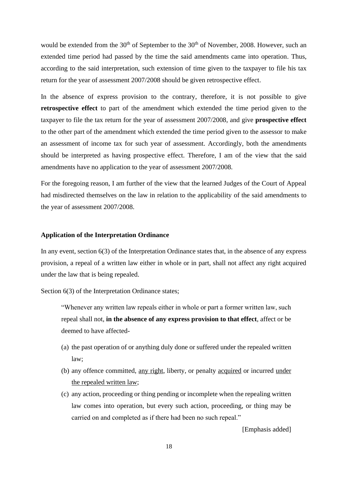would be extended from the  $30<sup>th</sup>$  of September to the  $30<sup>th</sup>$  of November, 2008. However, such an extended time period had passed by the time the said amendments came into operation. Thus, according to the said interpretation, such extension of time given to the taxpayer to file his tax return for the year of assessment 2007/2008 should be given retrospective effect.

In the absence of express provision to the contrary, therefore, it is not possible to give **retrospective effect** to part of the amendment which extended the time period given to the taxpayer to file the tax return for the year of assessment 2007/2008, and give **prospective effect** to the other part of the amendment which extended the time period given to the assessor to make an assessment of income tax for such year of assessment. Accordingly, both the amendments should be interpreted as having prospective effect. Therefore, I am of the view that the said amendments have no application to the year of assessment 2007/2008.

For the foregoing reason, I am further of the view that the learned Judges of the Court of Appeal had misdirected themselves on the law in relation to the applicability of the said amendments to the year of assessment 2007/2008.

#### **Application of the Interpretation Ordinance**

In any event, section 6(3) of the Interpretation Ordinance states that, in the absence of any express provision, a repeal of a written law either in whole or in part, shall not affect any right acquired under the law that is being repealed.

Section 6(3) of the Interpretation Ordinance states;

"Whenever any written law repeals either in whole or part a former written law, such repeal shall not, **in the absence of any express provision to that effect**, affect or be deemed to have affected-

- (a) the past operation of or anything duly done or suffered under the repealed written law;
- (b) any offence committed, any right, liberty, or penalty acquired or incurred under the repealed written law;
- (c) any action, proceeding or thing pending or incomplete when the repealing written law comes into operation, but every such action, proceeding, or thing may be carried on and completed as if there had been no such repeal."

[Emphasis added]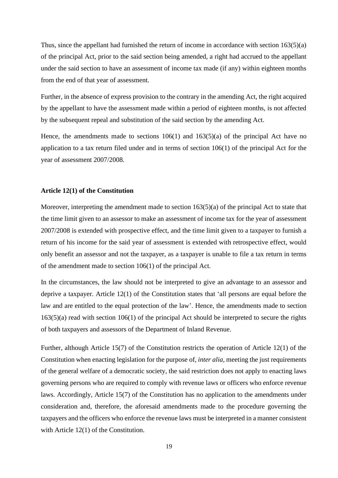Thus, since the appellant had furnished the return of income in accordance with section 163(5)(a) of the principal Act, prior to the said section being amended, a right had accrued to the appellant under the said section to have an assessment of income tax made (if any) within eighteen months from the end of that year of assessment.

Further, in the absence of express provision to the contrary in the amending Act, the right acquired by the appellant to have the assessment made within a period of eighteen months, is not affected by the subsequent repeal and substitution of the said section by the amending Act.

Hence, the amendments made to sections  $106(1)$  and  $163(5)(a)$  of the principal Act have no application to a tax return filed under and in terms of section 106(1) of the principal Act for the year of assessment 2007/2008.

#### **Article 12(1) of the Constitution**

Moreover, interpreting the amendment made to section 163(5)(a) of the principal Act to state that the time limit given to an assessor to make an assessment of income tax for the year of assessment 2007/2008 is extended with prospective effect, and the time limit given to a taxpayer to furnish a return of his income for the said year of assessment is extended with retrospective effect, would only benefit an assessor and not the taxpayer, as a taxpayer is unable to file a tax return in terms of the amendment made to section 106(1) of the principal Act.

In the circumstances, the law should not be interpreted to give an advantage to an assessor and deprive a taxpayer. Article 12(1) of the Constitution states that 'all persons are equal before the law and are entitled to the equal protection of the law'. Hence, the amendments made to section 163(5)(a) read with section 106(1) of the principal Act should be interpreted to secure the rights of both taxpayers and assessors of the Department of Inland Revenue.

Further, although Article 15(7) of the Constitution restricts the operation of Article 12(1) of the Constitution when enacting legislation for the purpose of, *inter alia,* meeting the just requirements of the general welfare of a democratic society, the said restriction does not apply to enacting laws governing persons who are required to comply with revenue laws or officers who enforce revenue laws. Accordingly, Article 15(7) of the Constitution has no application to the amendments under consideration and, therefore, the aforesaid amendments made to the procedure governing the taxpayers and the officers who enforce the revenue laws must be interpreted in a manner consistent with Article 12(1) of the Constitution.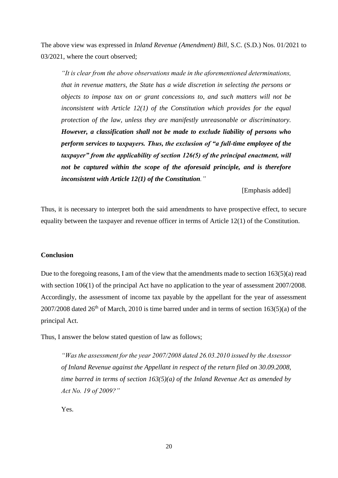The above view was expressed in *Inland Revenue (Amendment) Bill*, S.C. (S.D.) Nos. 01/2021 to 03/2021, where the court observed;

*"It is clear from the above observations made in the aforementioned determinations, that in revenue matters, the State has a wide discretion in selecting the persons or objects to impose tax on or grant concessions to, and such matters will not be inconsistent with Article 12(1) of the Constitution which provides for the equal protection of the law, unless they are manifestly unreasonable or discriminatory. However, a classification shall not be made to exclude liability of persons who perform services to taxpayers. Thus, the exclusion of "a full-time employee of the taxpayer" from the applicability of section 126(5) of the principal enactment, will not be captured within the scope of the aforesaid principle, and is therefore inconsistent with Article 12(1) of the Constitution."* 

[Emphasis added]

Thus, it is necessary to interpret both the said amendments to have prospective effect, to secure equality between the taxpayer and revenue officer in terms of Article 12(1) of the Constitution.

# **Conclusion**

Due to the foregoing reasons, I am of the view that the amendments made to section 163(5)(a) read with section 106(1) of the principal Act have no application to the year of assessment 2007/2008. Accordingly, the assessment of income tax payable by the appellant for the year of assessment  $2007/2008$  dated  $26<sup>th</sup>$  of March, 2010 is time barred under and in terms of section 163(5)(a) of the principal Act.

Thus, I answer the below stated question of law as follows;

*"Was the assessment for the year 2007/2008 dated 26.03.2010 issued by the Assessor of Inland Revenue against the Appellant in respect of the return filed on 30.09.2008, time barred in terms of section 163(5)(a) of the Inland Revenue Act as amended by Act No. 19 of 2009?"*

Yes.